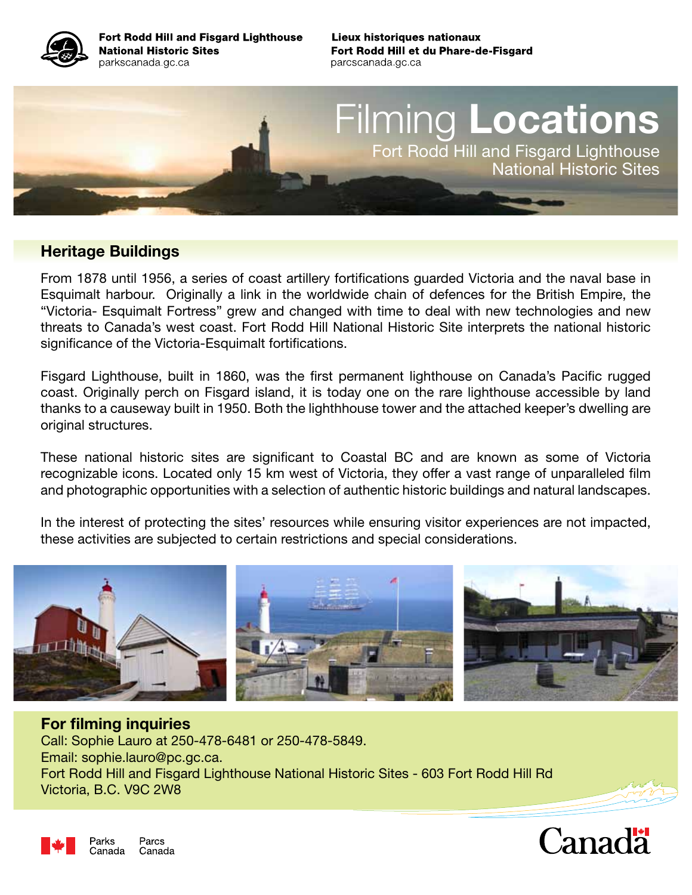

Fort Rodd Hill and Fisgard Lighthouse **National Historic Sites** parkscanada gc ca

Lieux historiques nationaux Fort Rodd Hill et du Phare-de-Fisgard parcscanada gc ca

# Filming Locations Fort Rodd Hill and Fisgard Lighthouse National Historic Sites

#### Heritage Buildings

From 1878 until 1956, a series of coast artillery fortifications guarded Victoria and the naval base in Esquimalt harbour. Originally a link in the worldwide chain of defences for the British Empire, the "Victoria- Esquimalt Fortress" grew and changed with time to deal with new technologies and new threats to Canada's west coast. Fort Rodd Hill National Historic Site interprets the national historic significance of the Victoria-Esquimalt fortifications.

Fisgard Lighthouse, built in 1860, was the first permanent lighthouse on Canada's Pacific rugged coast. Originally perch on Fisgard island, it is today one on the rare lighthouse accessible by land thanks to a causeway built in 1950. Both the lighthhouse tower and the attached keeper's dwelling are original structures.

These national historic sites are significant to Coastal BC and are known as some of Victoria recognizable icons. Located only 15 km west of Victoria, they offer a vast range of unparalleled film and photographic opportunities with a selection of authentic historic buildings and natural landscapes.

In the interest of protecting the sites' resources while ensuring visitor experiences are not impacted, these activities are subjected to certain restrictions and special considerations.



#### For filming inquiries Call: Sophie Lauro at 250-478-6481 or 250-478-5849. Email: sophie.lauro@pc.gc.ca. Fort Rodd Hill and Fisgard Lighthouse National Historic Sites - 603 Fort Rodd Hill Rd Victoria, B.C. V9C 2W8



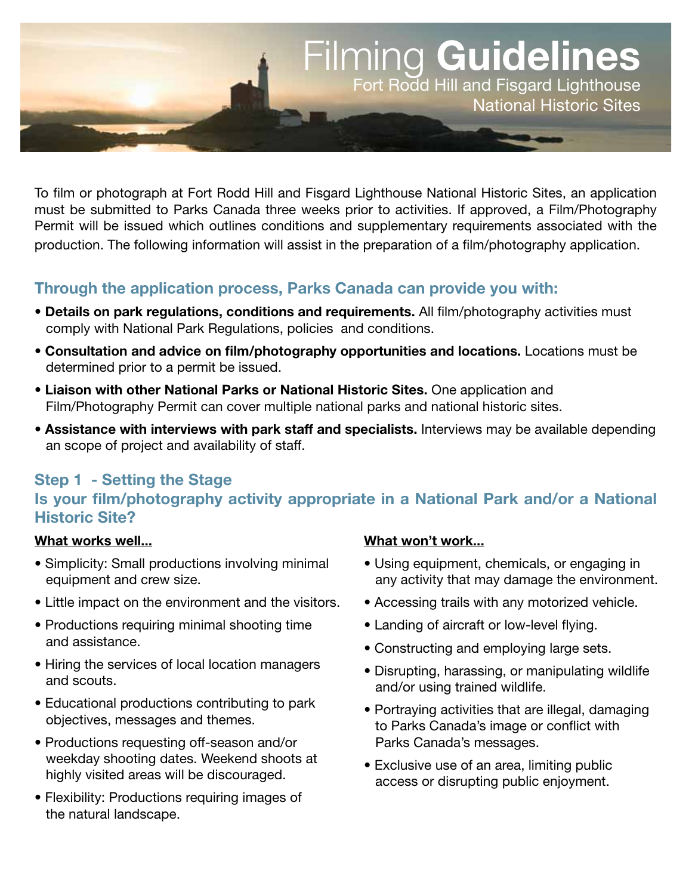

To film or photograph at Fort Rodd Hill and Fisgard Lighthouse National Historic Sites, an application must be submitted to Parks Canada three weeks prior to activities. If approved, a Film/Photography Permit will be issued which outlines conditions and supplementary requirements associated with the production. The following information will assist in the preparation of a film/photography application.

# Through the application process, Parks Canada can provide you with:

- Details on park regulations, conditions and requirements. All film/photography activities must comply with National Park Regulations, policies and conditions.
- Consultation and advice on film/photography opportunities and locations. Locations must be determined prior to a permit be issued.
- Liaison with other National Parks or National Historic Sites. One application and Film/Photography Permit can cover multiple national parks and national historic sites.
- Assistance with interviews with park staff and specialists. Interviews may be available depending an scope of project and availability of staff.

# Step 1 - Setting the Stage Is your film/photography activity appropriate in a National Park and/or a National Historic Site?

#### What works well...

- Simplicity: Small productions involving minimal equipment and crew size.
- Little impact on the environment and the visitors.
- Productions requiring minimal shooting time and assistance.
- Hiring the services of local location managers and scouts.
- Educational productions contributing to park objectives, messages and themes.
- Productions requesting off-season and/or weekday shooting dates. Weekend shoots at highly visited areas will be discouraged.
- Flexibility: Productions requiring images of the natural landscape.

#### What won't work...

- Using equipment, chemicals, or engaging in any activity that may damage the environment.
- Accessing trails with any motorized vehicle.
- Landing of aircraft or low-level flying.
- Constructing and employing large sets.
- Disrupting, harassing, or manipulating wildlife and/or using trained wildlife.
- Portraying activities that are illegal, damaging to Parks Canada's image or conflict with Parks Canada's messages.
- Exclusive use of an area, limiting public access or disrupting public enjoyment.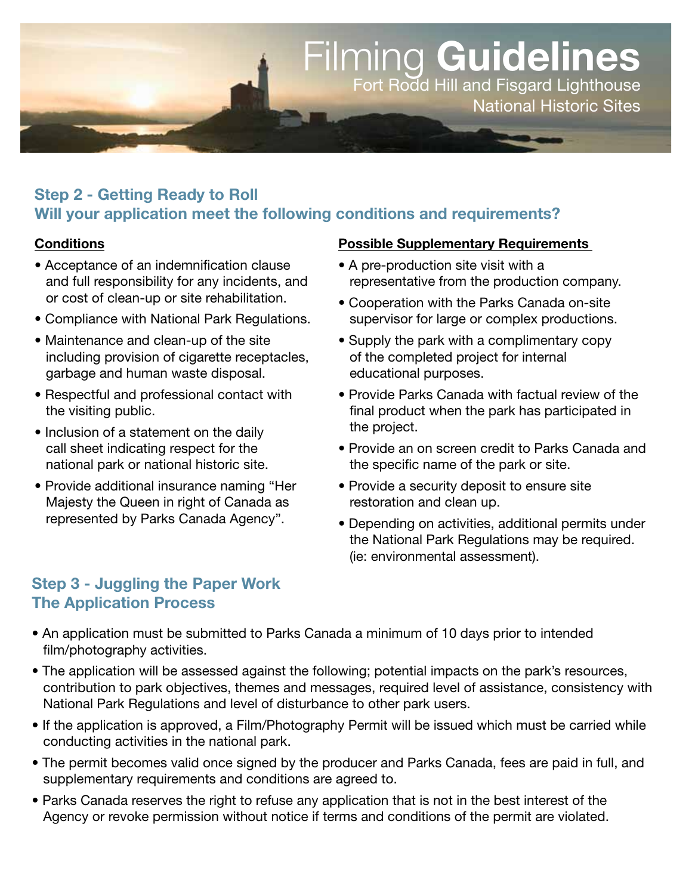

# Step 2 - Getting Ready to Roll Will your application meet the following conditions and requirements?

#### **Conditions**

- Acceptance of an indemnification clause and full responsibility for any incidents, and or cost of clean-up or site rehabilitation.
- Compliance with National Park Regulations.
- Maintenance and clean-up of the site including provision of cigarette receptacles, garbage and human waste disposal.
- Respectful and professional contact with the visiting public.
- Inclusion of a statement on the daily call sheet indicating respect for the national park or national historic site.
- Provide additional insurance naming "Her Majesty the Queen in right of Canada as represented by Parks Canada Agency".

#### Possible Supplementary Requirements

- A pre-production site visit with a representative from the production company.
- Cooperation with the Parks Canada on-site supervisor for large or complex productions.
- Supply the park with a complimentary copy of the completed project for internal educational purposes.
- Provide Parks Canada with factual review of the final product when the park has participated in the project.
- Provide an on screen credit to Parks Canada and the specific name of the park or site.
- Provide a security deposit to ensure site restoration and clean up.
- Depending on activities, additional permits under the National Park Regulations may be required. (ie: environmental assessment).

#### Step 3 - Juggling the Paper Work The Application Process

- An application must be submitted to Parks Canada a minimum of 10 days prior to intended film/photography activities.
- The application will be assessed against the following; potential impacts on the park's resources, contribution to park objectives, themes and messages, required level of assistance, consistency with National Park Regulations and level of disturbance to other park users.
- If the application is approved, a Film/Photography Permit will be issued which must be carried while conducting activities in the national park.
- The permit becomes valid once signed by the producer and Parks Canada, fees are paid in full, and supplementary requirements and conditions are agreed to.
- Parks Canada reserves the right to refuse any application that is not in the best interest of the Agency or revoke permission without notice if terms and conditions of the permit are violated.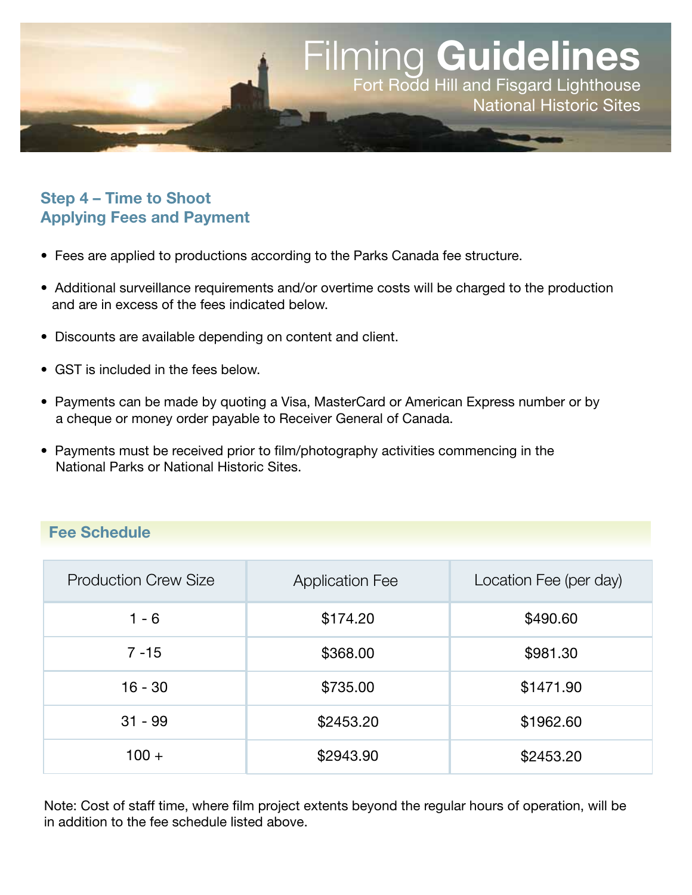

# Step 4 – Time to Shoot Applying Fees and Payment

- Fees are applied to productions according to the Parks Canada fee structure.
- Additional surveillance requirements and/or overtime costs will be charged to the production and are in excess of the fees indicated below.
- Discounts are available depending on content and client.
- GST is included in the fees below.
- Payments can be made by quoting a Visa, MasterCard or American Express number or by a cheque or money order payable to Receiver General of Canada.
- Payments must be received prior to film/photography activities commencing in the National Parks or National Historic Sites.

# Fee Schedule

| <b>Production Crew Size</b> | <b>Application Fee</b> | Location Fee (per day) |
|-----------------------------|------------------------|------------------------|
| $1 - 6$                     | \$174.20               | \$490.60               |
| $7 - 15$                    | \$368.00               | \$981.30               |
| $16 - 30$                   | \$735.00               | \$1471.90              |
| $31 - 99$                   | \$2453.20              | \$1962.60              |
| $100 +$                     | \$2943.90              | \$2453.20              |

Note: Cost of staff time, where film project extents beyond the regular hours of operation, will be in addition to the fee schedule listed above.